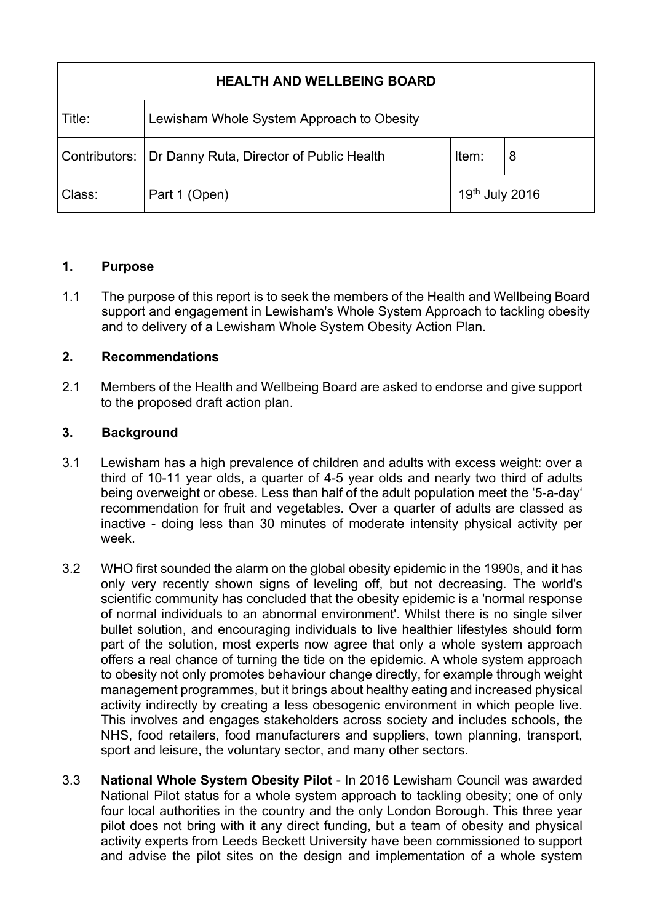| <b>HEALTH AND WELLBEING BOARD</b> |                                           |                |   |
|-----------------------------------|-------------------------------------------|----------------|---|
| Title:                            | Lewisham Whole System Approach to Obesity |                |   |
| Contributors:                     | Dr Danny Ruta, Director of Public Health  | Item:          | 8 |
| Class:                            | Part 1 (Open)                             | 19th July 2016 |   |

### **1. Purpose**

1.1 The purpose of this report is to seek the members of the Health and Wellbeing Board support and engagement in Lewisham's Whole System Approach to tackling obesity and to delivery of a Lewisham Whole System Obesity Action Plan.

# **2. Recommendations**

2.1 Members of the Health and Wellbeing Board are asked to endorse and give support to the proposed draft action plan.

## **3. Background**

- 3.1 Lewisham has a high prevalence of children and adults with excess weight: over a third of 10-11 year olds, a quarter of 4-5 year olds and nearly two third of adults being overweight or obese. Less than half of the adult population meet the '5-a-day' recommendation for fruit and vegetables. Over a quarter of adults are classed as inactive - doing less than 30 minutes of moderate intensity physical activity per week.
- 3.2 WHO first sounded the alarm on the global obesity epidemic in the 1990s, and it has only very recently shown signs of leveling off, but not decreasing. The world's scientific community has concluded that the obesity epidemic is a 'normal response of normal individuals to an abnormal environment'. Whilst there is no single silver bullet solution, and encouraging individuals to live healthier lifestyles should form part of the solution, most experts now agree that only a whole system approach offers a real chance of turning the tide on the epidemic. A whole system approach to obesity not only promotes behaviour change directly, for example through weight management programmes, but it brings about healthy eating and increased physical activity indirectly by creating a less obesogenic environment in which people live. This involves and engages stakeholders across society and includes schools, the NHS, food retailers, food manufacturers and suppliers, town planning, transport, sport and leisure, the voluntary sector, and many other sectors.
- 3.3 **National Whole System Obesity Pilot** In 2016 Lewisham Council was awarded National Pilot status for a whole system approach to tackling obesity; one of only four local authorities in the country and the only London Borough. This three year pilot does not bring with it any direct funding, but a team of obesity and physical activity experts from Leeds Beckett University have been commissioned to support and advise the pilot sites on the design and implementation of a whole system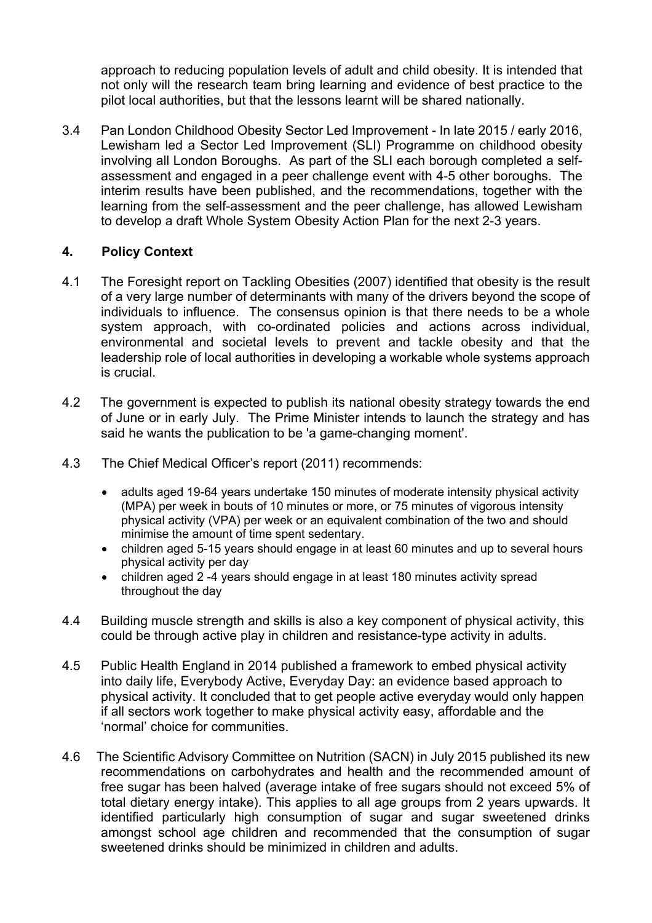approach to reducing population levels of adult and child obesity. It is intended that not only will the research team bring learning and evidence of best practice to the pilot local authorities, but that the lessons learnt will be shared nationally.

3.4 Pan London Childhood Obesity Sector Led Improvement - In late 2015 / early 2016, Lewisham led a Sector Led Improvement (SLI) Programme on childhood obesity involving all London Boroughs. As part of the SLI each borough completed a selfassessment and engaged in a peer challenge event with 4-5 other boroughs. The interim results have been published, and the recommendations, together with the learning from the self-assessment and the peer challenge, has allowed Lewisham to develop a draft Whole System Obesity Action Plan for the next 2-3 years.

### **4. Policy Context**

- 4.1 The Foresight report on Tackling Obesities (2007) identified that obesity is the result of a very large number of determinants with many of the drivers beyond the scope of individuals to influence. The consensus opinion is that there needs to be a whole system approach, with co-ordinated policies and actions across individual, environmental and societal levels to prevent and tackle obesity and that the leadership role of local authorities in developing a workable whole systems approach is crucial.
- 4.2 The government is expected to publish its national obesity strategy towards the end of June or in early July. The Prime Minister intends to launch the strategy and has said he wants the publication to be 'a game-changing moment'.
- 4.3 The Chief Medical Officer's report (2011) recommends:
	- adults aged 19-64 years undertake 150 minutes of moderate intensity physical activity (MPA) per week in bouts of 10 minutes or more, or 75 minutes of vigorous intensity physical activity (VPA) per week or an equivalent combination of the two and should minimise the amount of time spent sedentary.
	- children aged 5-15 years should engage in at least 60 minutes and up to several hours physical activity per day
	- children aged 2 -4 years should engage in at least 180 minutes activity spread throughout the day
- 4.4 Building muscle strength and skills is also a key component of physical activity, this could be through active play in children and resistance-type activity in adults.
- 4.5 Public Health England in 2014 published a framework to embed physical activity into daily life, Everybody Active, Everyday Day: an evidence based approach to physical activity. It concluded that to get people active everyday would only happen if all sectors work together to make physical activity easy, affordable and the 'normal' choice for communities.
- 4.6 The Scientific Advisory Committee on Nutrition (SACN) in July 2015 published its new recommendations on carbohydrates and health and the recommended amount of free sugar has been halved (average intake of free sugars should not exceed 5% of total dietary energy intake). This applies to all age groups from 2 years upwards. It identified particularly high consumption of sugar and sugar sweetened drinks amongst school age children and recommended that the consumption of sugar sweetened drinks should be minimized in children and adults.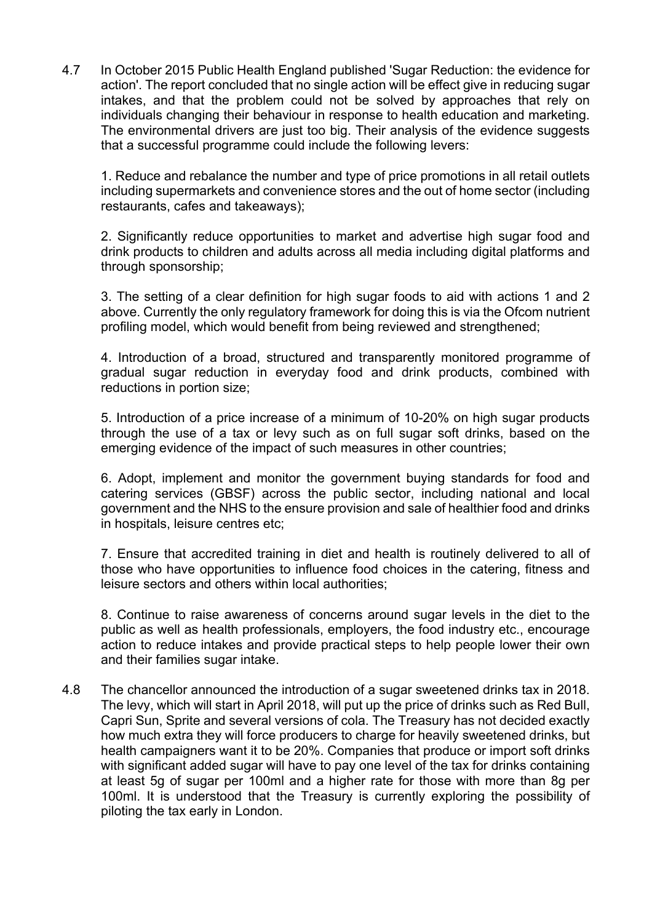4.7 In October 2015 Public Health England published 'Sugar Reduction: the evidence for action'. The report concluded that no single action will be effect give in reducing sugar intakes, and that the problem could not be solved by approaches that rely on individuals changing their behaviour in response to health education and marketing. The environmental drivers are just too big. Their analysis of the evidence suggests that a successful programme could include the following levers:

1. Reduce and rebalance the number and type of price promotions in all retail outlets including supermarkets and convenience stores and the out of home sector (including restaurants, cafes and takeaways);

2. Significantly reduce opportunities to market and advertise high sugar food and drink products to children and adults across all media including digital platforms and through sponsorship;

3. The setting of a clear definition for high sugar foods to aid with actions 1 and 2 above. Currently the only regulatory framework for doing this is via the Ofcom nutrient profiling model, which would benefit from being reviewed and strengthened;

4. Introduction of a broad, structured and transparently monitored programme of gradual sugar reduction in everyday food and drink products, combined with reductions in portion size;

5. Introduction of a price increase of a minimum of 10-20% on high sugar products through the use of a tax or levy such as on full sugar soft drinks, based on the emerging evidence of the impact of such measures in other countries;

6. Adopt, implement and monitor the government buying standards for food and catering services (GBSF) across the public sector, including national and local government and the NHS to the ensure provision and sale of healthier food and drinks in hospitals, leisure centres etc;

7. Ensure that accredited training in diet and health is routinely delivered to all of those who have opportunities to influence food choices in the catering, fitness and leisure sectors and others within local authorities;

8. Continue to raise awareness of concerns around sugar levels in the diet to the public as well as health professionals, employers, the food industry etc., encourage action to reduce intakes and provide practical steps to help people lower their own and their families sugar intake.

4.8 The chancellor announced the introduction of a sugar sweetened drinks tax in 2018. The levy, which will start in April 2018, will put up the price of drinks such as Red Bull, Capri Sun, Sprite and several versions of cola. The Treasury has not decided exactly how much extra they will force producers to charge for heavily sweetened drinks, but health campaigners want it to be 20%. Companies that produce or import soft drinks with significant added sugar will have to pay one level of the tax for drinks containing at least 5g of sugar per 100ml and a higher rate for those with more than 8g per 100ml. It is understood that the Treasury is currently exploring the possibility of piloting the tax early in London.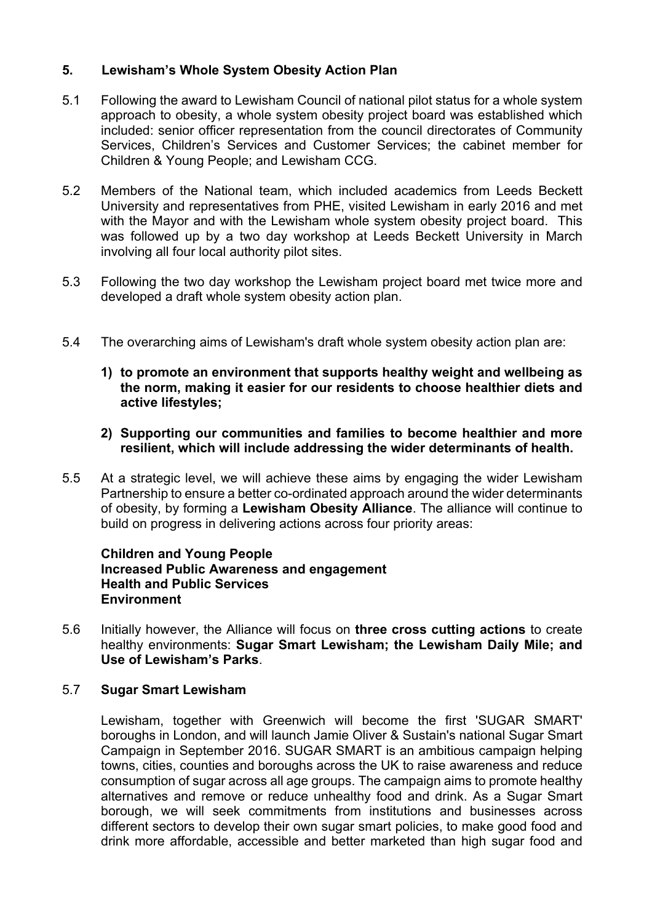### **5. Lewisham's Whole System Obesity Action Plan**

- 5.1 Following the award to Lewisham Council of national pilot status for a whole system approach to obesity, a whole system obesity project board was established which included: senior officer representation from the council directorates of Community Services, Children's Services and Customer Services; the cabinet member for Children & Young People; and Lewisham CCG.
- 5.2 Members of the National team, which included academics from Leeds Beckett University and representatives from PHE, visited Lewisham in early 2016 and met with the Mayor and with the Lewisham whole system obesity project board. This was followed up by a two day workshop at Leeds Beckett University in March involving all four local authority pilot sites.
- 5.3 Following the two day workshop the Lewisham project board met twice more and developed a draft whole system obesity action plan.
- 5.4 The overarching aims of Lewisham's draft whole system obesity action plan are:
	- **1) to promote an environment that supports healthy weight and wellbeing as the norm, making it easier for our residents to choose healthier diets and active lifestyles;**
	- **2) Supporting our communities and families to become healthier and more resilient, which will include addressing the wider determinants of health.**
- 5.5 At a strategic level, we will achieve these aims by engaging the wider Lewisham Partnership to ensure a better co-ordinated approach around the wider determinants of obesity, by forming a **Lewisham Obesity Alliance**. The alliance will continue to build on progress in delivering actions across four priority areas:

#### **Children and Young People Increased Public Awareness and engagement Health and Public Services Environment**

5.6 Initially however, the Alliance will focus on **three cross cutting actions** to create healthy environments: **Sugar Smart Lewisham; the Lewisham Daily Mile; and Use of Lewisham's Parks**.

### 5.7 **Sugar Smart Lewisham**

Lewisham, together with Greenwich will become the first 'SUGAR SMART' boroughs in London, and will launch Jamie Oliver & Sustain's national Sugar Smart Campaign in September 2016. SUGAR SMART is an ambitious campaign helping towns, cities, counties and boroughs across the UK to raise awareness and reduce consumption of sugar across all age groups. The campaign aims to promote healthy alternatives and remove or reduce unhealthy food and drink. As a Sugar Smart borough, we will seek commitments from institutions and businesses across different sectors to develop their own sugar smart policies, to make good food and drink more affordable, accessible and better marketed than high sugar food and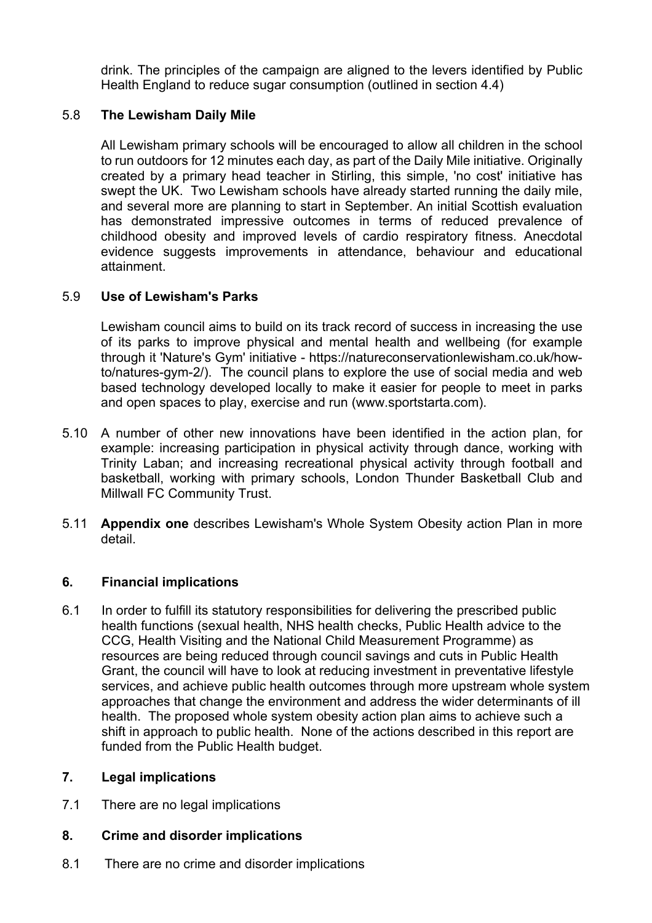drink. The principles of the campaign are aligned to the levers identified by Public Health England to reduce sugar consumption (outlined in section 4.4)

### 5.8 **The Lewisham Daily Mile**

All Lewisham primary schools will be encouraged to allow all children in the school to run outdoors for 12 minutes each day, as part of the Daily Mile initiative. Originally created by a primary head teacher in Stirling, this simple, 'no cost' initiative has swept the UK. Two Lewisham schools have already started running the daily mile, and several more are planning to start in September. An initial Scottish evaluation has demonstrated impressive outcomes in terms of reduced prevalence of childhood obesity and improved levels of cardio respiratory fitness. Anecdotal evidence suggests improvements in attendance, behaviour and educational attainment.

### 5.9 **Use of Lewisham's Parks**

Lewisham council aims to build on its track record of success in increasing the use of its parks to improve physical and mental health and wellbeing (for example through it 'Nature's Gym' initiative - https://natureconservationlewisham.co.uk/howto/natures-gym-2/). The council plans to explore the use of social media and web based technology developed locally to make it easier for people to meet in parks and open spaces to play, exercise and run ([www.sportstarta.com\)](http://www.sportstarta.com/).

- 5.10 A number of other new innovations have been identified in the action plan, for example: increasing participation in physical activity through dance, working with Trinity Laban; and increasing recreational physical activity through football and basketball, working with primary schools, London Thunder Basketball Club and Millwall FC Community Trust.
- 5.11 **Appendix one** describes Lewisham's Whole System Obesity action Plan in more detail.

### **6. Financial implications**

6.1 In order to fulfill its statutory responsibilities for delivering the prescribed public health functions (sexual health, NHS health checks, Public Health advice to the CCG, Health Visiting and the National Child Measurement Programme) as resources are being reduced through council savings and cuts in Public Health Grant, the council will have to look at reducing investment in preventative lifestyle services, and achieve public health outcomes through more upstream whole system approaches that change the environment and address the wider determinants of ill health. The proposed whole system obesity action plan aims to achieve such a shift in approach to public health. None of the actions described in this report are funded from the Public Health budget.

### **7. Legal implications**

7.1 There are no legal implications

### **8. Crime and disorder implications**

8.1 There are no crime and disorder implications